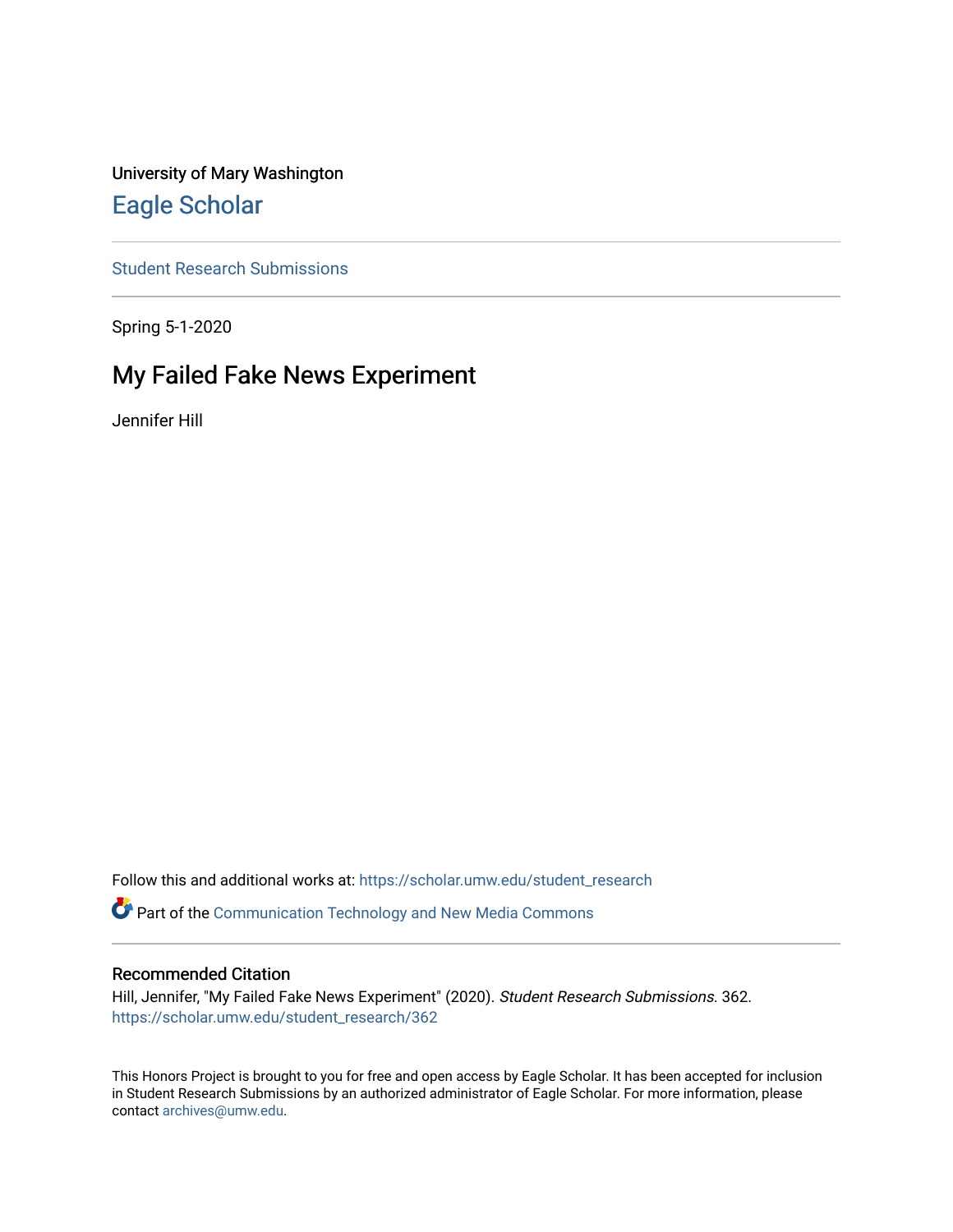University of Mary Washington [Eagle Scholar](https://scholar.umw.edu/) 

[Student Research Submissions](https://scholar.umw.edu/student_research) 

Spring 5-1-2020

## My Failed Fake News Experiment

Jennifer Hill

Follow this and additional works at: [https://scholar.umw.edu/student\\_research](https://scholar.umw.edu/student_research?utm_source=scholar.umw.edu%2Fstudent_research%2F362&utm_medium=PDF&utm_campaign=PDFCoverPages)

Part of the [Communication Technology and New Media Commons](http://network.bepress.com/hgg/discipline/327?utm_source=scholar.umw.edu%2Fstudent_research%2F362&utm_medium=PDF&utm_campaign=PDFCoverPages) 

#### Recommended Citation

Hill, Jennifer, "My Failed Fake News Experiment" (2020). Student Research Submissions. 362. [https://scholar.umw.edu/student\\_research/362](https://scholar.umw.edu/student_research/362?utm_source=scholar.umw.edu%2Fstudent_research%2F362&utm_medium=PDF&utm_campaign=PDFCoverPages)

This Honors Project is brought to you for free and open access by Eagle Scholar. It has been accepted for inclusion in Student Research Submissions by an authorized administrator of Eagle Scholar. For more information, please contact [archives@umw.edu](mailto:archives@umw.edu).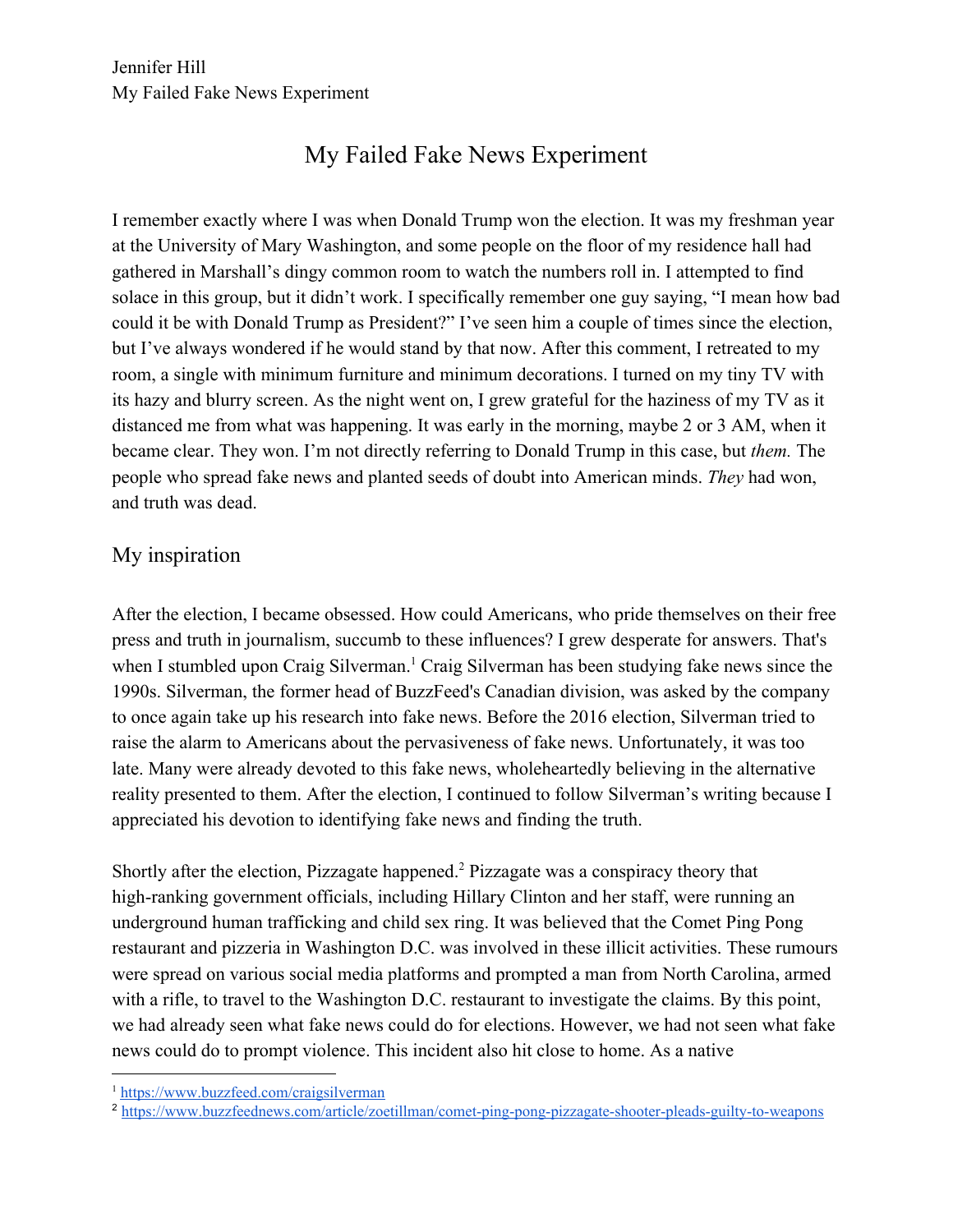# My Failed Fake News Experiment

I remember exactly where I was when Donald Trump won the election. It was my freshman year at the University of Mary Washington, and some people on the floor of my residence hall had gathered in Marshall's dingy common room to watch the numbers roll in. I attempted to find solace in this group, but it didn't work. I specifically remember one guy saying, "I mean how bad could it be with Donald Trump as President?" I've seen him a couple of times since the election, but I've always wondered if he would stand by that now. After this comment, I retreated to my room, a single with minimum furniture and minimum decorations. I turned on my tiny TV with its hazy and blurry screen. As the night went on, I grew grateful for the haziness of my TV as it distanced me from what was happening. It was early in the morning, maybe 2 or 3 AM, when it became clear. They won. I'm not directly referring to Donald Trump in this case, but *them.* The people who spread fake news and planted seeds of doubt into American minds. *They* had won, and truth was dead.

## My inspiration

After the election, I became obsessed. How could Americans, who pride themselves on their free press and truth in journalism, succumb to these influences? I grew desperate for answers. That's when I stumbled upon Craig Silverman.<sup>1</sup> Craig Silverman has been studying fake news since the 1990s. Silverman, the former head of BuzzFeed's Canadian division, was asked by the company to once again take up his research into fake news. Before the 2016 election, Silverman tried to raise the alarm to Americans about the pervasiveness of fake news. Unfortunately, it was too late. Many were already devoted to this fake news, wholeheartedly believing in the alternative reality presented to them. After the election, I continued to follow Silverman's writing because I appreciated his devotion to identifying fake news and finding the truth.

Shortly after the election, Pizzagate happened.<sup>2</sup> Pizzagate was a conspiracy theory that high-ranking government officials, including Hillary Clinton and her staff, were running an underground human trafficking and child sex ring. It was believed that the Comet Ping Pong restaurant and pizzeria in Washington D.C. was involved in these illicit activities. These rumours were spread on various social media platforms and prompted a man from North Carolina, armed with a rifle, to travel to the Washington D.C. restaurant to investigate the claims. By this point, we had already seen what fake news could do for elections. However, we had not seen what fake news could do to prompt violence. This incident also hit close to home. As a native

<sup>1</sup> <https://www.buzzfeed.com/craigsilverman>

<sup>&</sup>lt;sup>2</sup> <https://www.buzzfeednews.com/article/zoetillman/comet-ping-pong-pizzagate-shooter-pleads-guilty-to-weapons>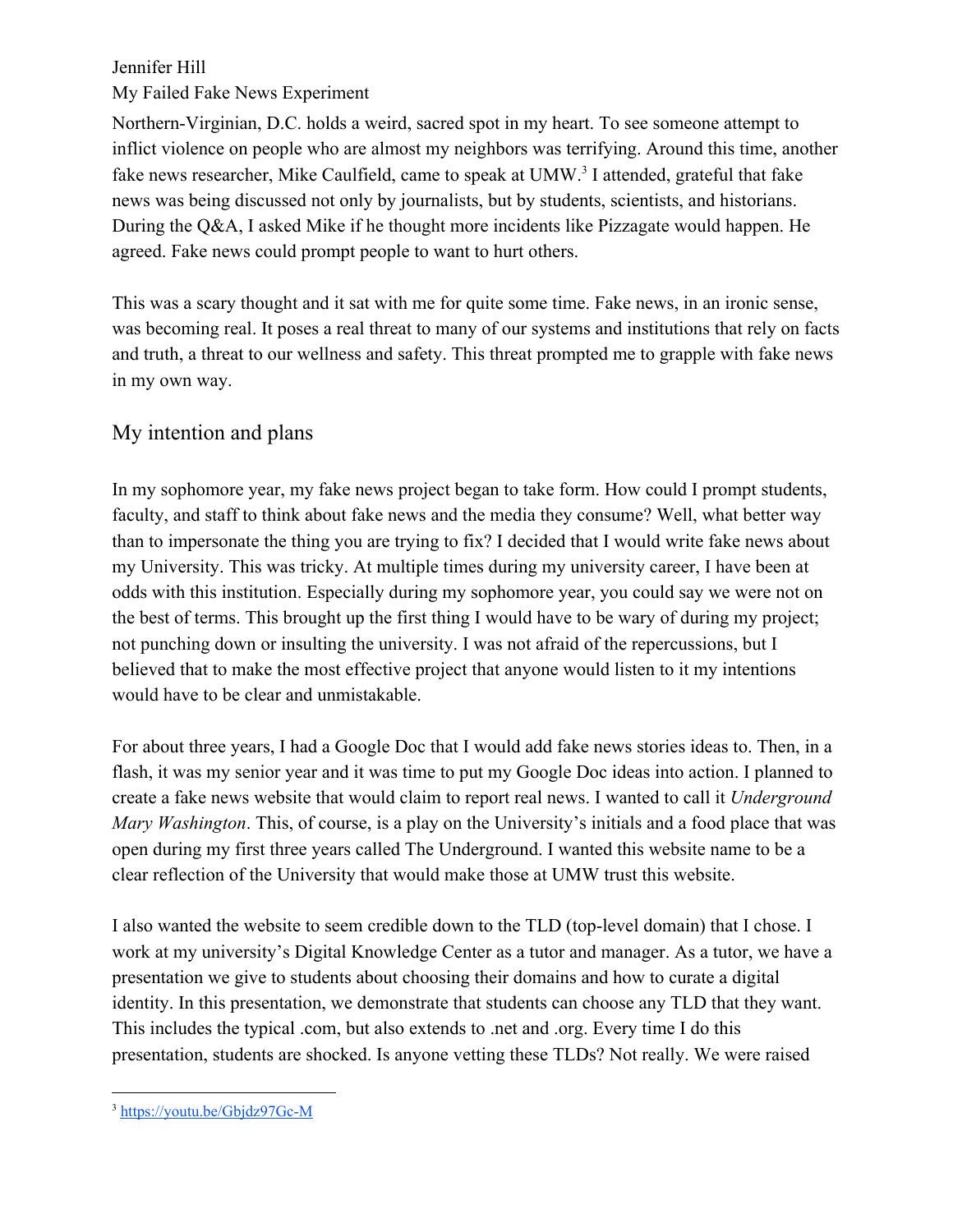#### My Failed Fake News Experiment

Northern-Virginian, D.C. holds a weird, sacred spot in my heart. To see someone attempt to inflict violence on people who are almost my neighbors was terrifying. Around this time, another fake news researcher, Mike Caulfield, came to speak at UMW.<sup>3</sup> I attended, grateful that fake news was being discussed not only by journalists, but by students, scientists, and historians. During the Q&A, I asked Mike if he thought more incidents like Pizzagate would happen. He agreed. Fake news could prompt people to want to hurt others.

This was a scary thought and it sat with me for quite some time. Fake news, in an ironic sense, was becoming real. It poses a real threat to many of our systems and institutions that rely on facts and truth, a threat to our wellness and safety. This threat prompted me to grapple with fake news in my own way.

### My intention and plans

In my sophomore year, my fake news project began to take form. How could I prompt students, faculty, and staff to think about fake news and the media they consume? Well, what better way than to impersonate the thing you are trying to fix? I decided that I would write fake news about my University. This was tricky. At multiple times during my university career, I have been at odds with this institution. Especially during my sophomore year, you could say we were not on the best of terms. This brought up the first thing I would have to be wary of during my project; not punching down or insulting the university. I was not afraid of the repercussions, but I believed that to make the most effective project that anyone would listen to it my intentions would have to be clear and unmistakable.

For about three years, I had a Google Doc that I would add fake news stories ideas to. Then, in a flash, it was my senior year and it was time to put my Google Doc ideas into action. I planned to create a fake news website that would claim to report real news. I wanted to call it *Underground Mary Washington*. This, of course, is a play on the University's initials and a food place that was open during my first three years called The Underground. I wanted this website name to be a clear reflection of the University that would make those at UMW trust this website.

I also wanted the website to seem credible down to the TLD (top-level domain) that I chose. I work at my university's Digital Knowledge Center as a tutor and manager. As a tutor, we have a presentation we give to students about choosing their domains and how to curate a digital identity. In this presentation, we demonstrate that students can choose any TLD that they want. This includes the typical .com, but also extends to .net and .org. Every time I do this presentation, students are shocked. Is anyone vetting these TLDs? Not really. We were raised

<sup>3</sup> <https://youtu.be/Gbjdz97Gc-M>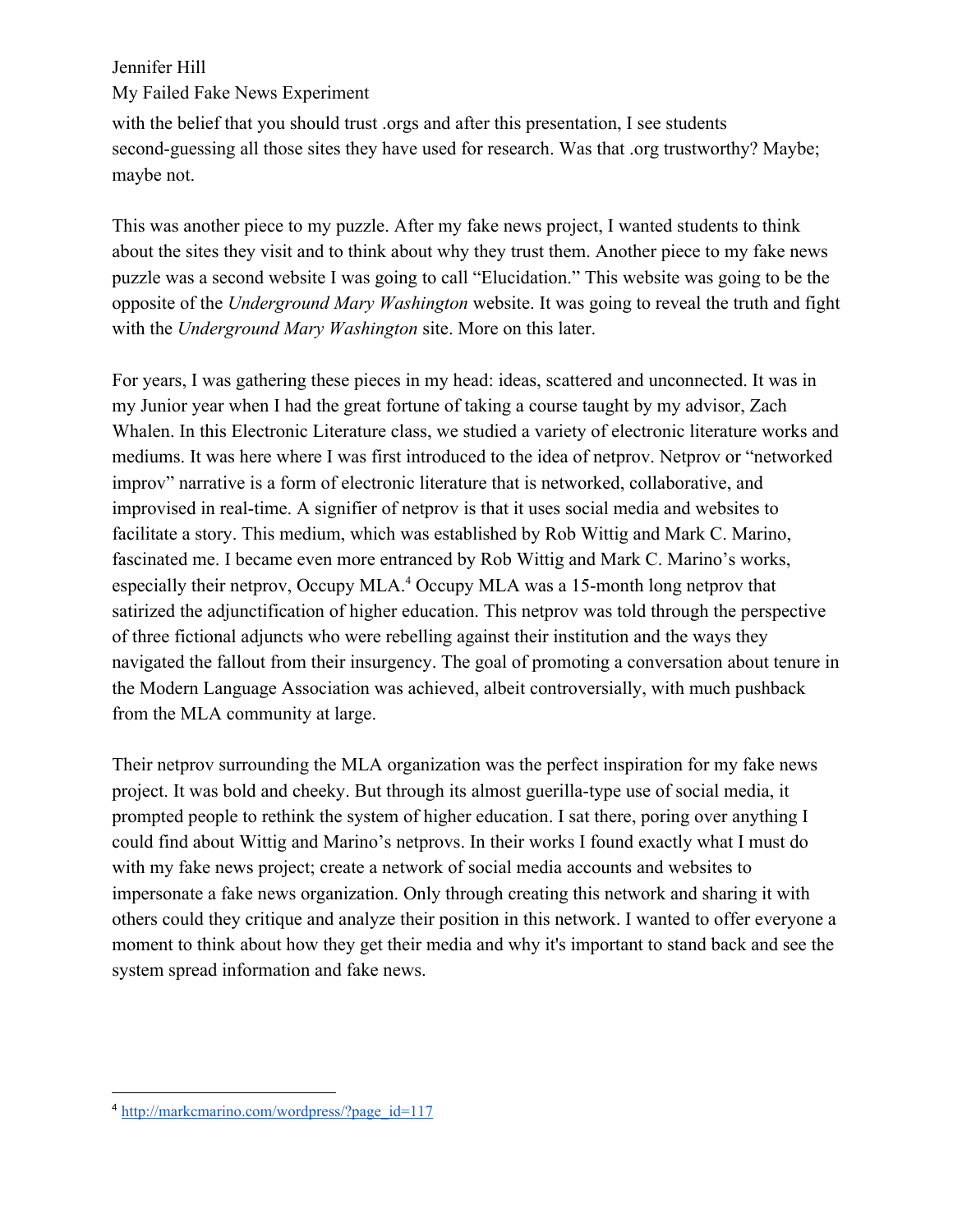My Failed Fake News Experiment

with the belief that you should trust .orgs and after this presentation, I see students second-guessing all those sites they have used for research. Was that .org trustworthy? Maybe; maybe not.

This was another piece to my puzzle. After my fake news project, I wanted students to think about the sites they visit and to think about why they trust them. Another piece to my fake news puzzle was a second website I was going to call "Elucidation." This website was going to be the opposite of the *Underground Mary Washington* website. It was going to reveal the truth and fight with the *Underground Mary Washington* site. More on this later.

For years, I was gathering these pieces in my head: ideas, scattered and unconnected. It was in my Junior year when I had the great fortune of taking a course taught by my advisor, Zach Whalen. In this Electronic Literature class, we studied a variety of electronic literature works and mediums. It was here where I was first introduced to the idea of netprov. Netprov or "networked improv" narrative is a form of electronic literature that is networked, collaborative, and improvised in real-time. A signifier of netprov is that it uses social media and websites to facilitate a story. This medium, which was established by Rob Wittig and Mark C. Marino, fascinated me. I became even more entranced by Rob Wittig and Mark C. Marino's works, especially their netprov, Occupy MLA.<sup>4</sup> Occupy MLA was a 15-month long netprov that satirized the adjunctification of higher education. This netprov was told through the perspective of three fictional adjuncts who were rebelling against their institution and the ways they navigated the fallout from their insurgency. The goal of promoting a conversation about tenure in the Modern Language Association was achieved, albeit controversially, with much pushback from the MLA community at large.

Their netprov surrounding the MLA organization was the perfect inspiration for my fake news project. It was bold and cheeky. But through its almost guerilla-type use of social media, it prompted people to rethink the system of higher education. I sat there, poring over anything I could find about Wittig and Marino's netprovs. In their works I found exactly what I must do with my fake news project; create a network of social media accounts and websites to impersonate a fake news organization. Only through creating this network and sharing it with others could they critique and analyze their position in this network. I wanted to offer everyone a moment to think about how they get their media and why it's important to stand back and see the system spread information and fake news.

<sup>4</sup> [http://markcmarino.com/wordpress/?page\\_id=117](http://markcmarino.com/wordpress/?page_id=117)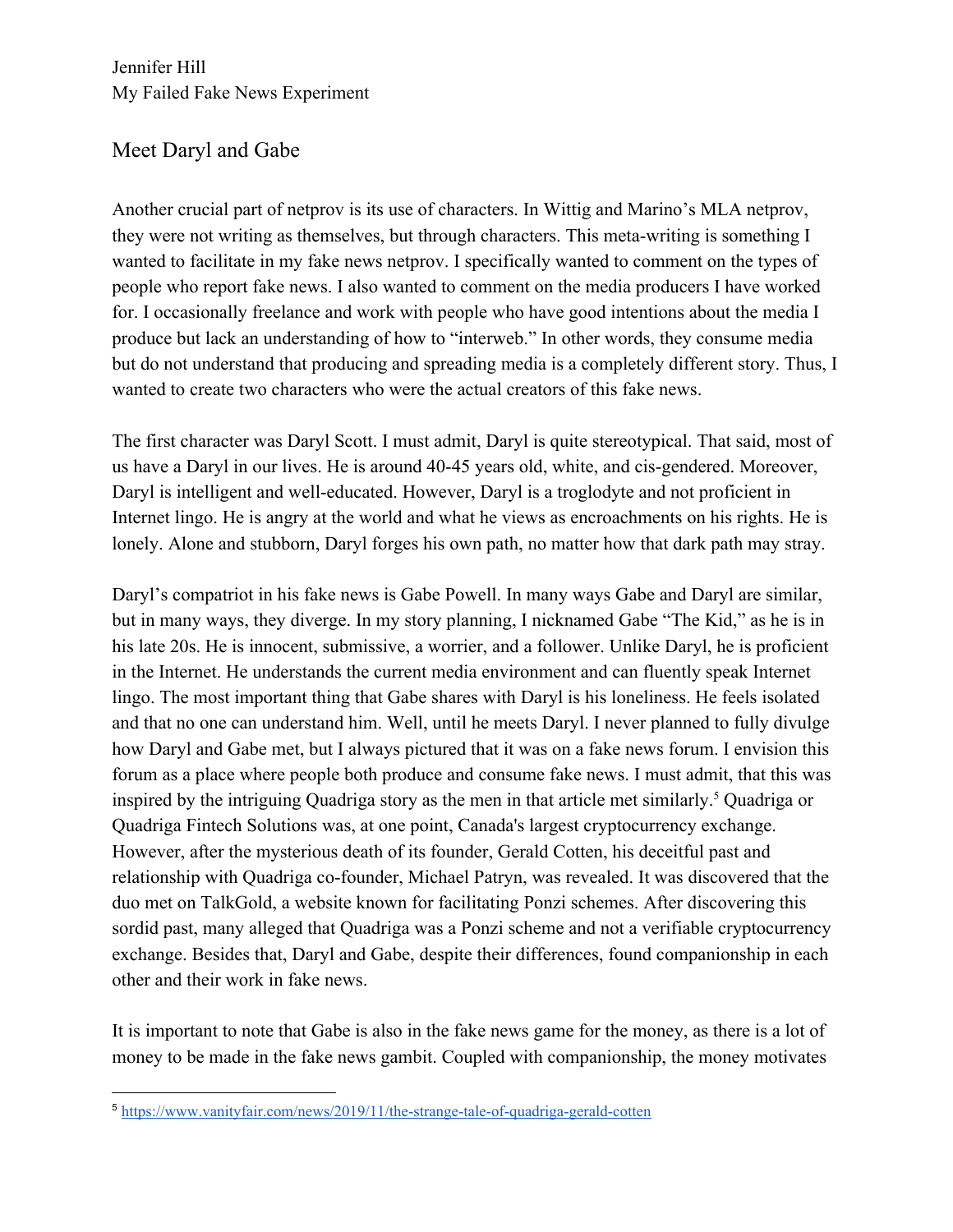Jennifer Hill My Failed Fake News Experiment

## Meet Daryl and Gabe

Another crucial part of netprov is its use of characters. In Wittig and Marino's MLA netprov, they were not writing as themselves, but through characters. This meta-writing is something I wanted to facilitate in my fake news netprov. I specifically wanted to comment on the types of people who report fake news. I also wanted to comment on the media producers I have worked for. I occasionally freelance and work with people who have good intentions about the media I produce but lack an understanding of how to "interweb." In other words, they consume media but do not understand that producing and spreading media is a completely different story. Thus, I wanted to create two characters who were the actual creators of this fake news.

The first character was Daryl Scott. I must admit, Daryl is quite stereotypical. That said, most of us have a Daryl in our lives. He is around 40-45 years old, white, and cis-gendered. Moreover, Daryl is intelligent and well-educated. However, Daryl is a troglodyte and not proficient in Internet lingo. He is angry at the world and what he views as encroachments on his rights. He is lonely. Alone and stubborn, Daryl forges his own path, no matter how that dark path may stray.

Daryl's compatriot in his fake news is Gabe Powell. In many ways Gabe and Daryl are similar, but in many ways, they diverge. In my story planning, I nicknamed Gabe "The Kid," as he is in his late 20s. He is innocent, submissive, a worrier, and a follower. Unlike Daryl, he is proficient in the Internet. He understands the current media environment and can fluently speak Internet lingo. The most important thing that Gabe shares with Daryl is his loneliness. He feels isolated and that no one can understand him. Well, until he meets Daryl. I never planned to fully divulge how Daryl and Gabe met, but I always pictured that it was on a fake news forum. I envision this forum as a place where people both produce and consume fake news. I must admit, that this was inspired by the intriguing Quadriga story as the men in that article met similarly.<sup>5</sup> Quadriga or Quadriga Fintech Solutions was, at one point, Canada's largest cryptocurrency exchange. However, after the mysterious death of its founder, Gerald Cotten, his deceitful past and relationship with Quadriga co-founder, Michael Patryn, was revealed. It was discovered that the duo met on TalkGold, a website known for facilitating Ponzi schemes. After discovering this sordid past, many alleged that Quadriga was a Ponzi scheme and not a verifiable cryptocurrency exchange. Besides that, Daryl and Gabe, despite their differences, found companionship in each other and their work in fake news.

It is important to note that Gabe is also in the fake news game for the money, as there is a lot of money to be made in the fake news gambit. Coupled with companionship, the money motivates

<sup>5</sup> <https://www.vanityfair.com/news/2019/11/the-strange-tale-of-quadriga-gerald-cotten>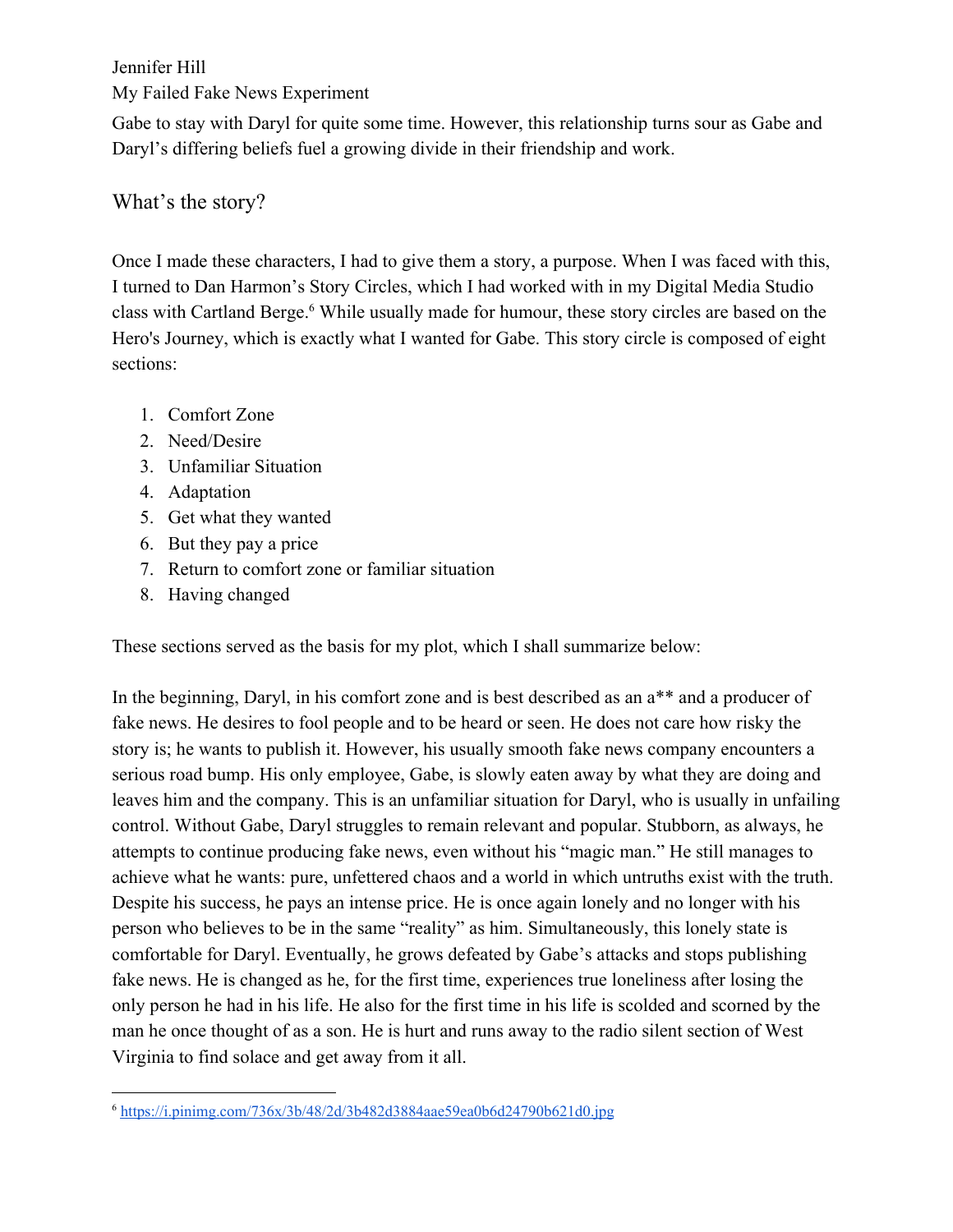My Failed Fake News Experiment

Gabe to stay with Daryl for quite some time. However, this relationship turns sour as Gabe and Daryl's differing beliefs fuel a growing divide in their friendship and work.

## What's the story?

Once I made these characters, I had to give them a story, a purpose. When I was faced with this, I turned to Dan Harmon's Story Circles, which I had worked with in my Digital Media Studio class with Cartland Berge.<sup>6</sup> While usually made for humour, these story circles are based on the Hero's Journey, which is exactly what I wanted for Gabe. This story circle is composed of eight sections:

- 1. Comfort Zone
- 2. Need/Desire
- 3. Unfamiliar Situation
- 4. Adaptation
- 5. Get what they wanted
- 6. But they pay a price
- 7. Return to comfort zone or familiar situation
- 8. Having changed

These sections served as the basis for my plot, which I shall summarize below:

In the beginning, Daryl, in his comfort zone and is best described as an a\*\* and a producer of fake news. He desires to fool people and to be heard or seen. He does not care how risky the story is; he wants to publish it. However, his usually smooth fake news company encounters a serious road bump. His only employee, Gabe, is slowly eaten away by what they are doing and leaves him and the company. This is an unfamiliar situation for Daryl, who is usually in unfailing control. Without Gabe, Daryl struggles to remain relevant and popular. Stubborn, as always, he attempts to continue producing fake news, even without his "magic man." He still manages to achieve what he wants: pure, unfettered chaos and a world in which untruths exist with the truth. Despite his success, he pays an intense price. He is once again lonely and no longer with his person who believes to be in the same "reality" as him. Simultaneously, this lonely state is comfortable for Daryl. Eventually, he grows defeated by Gabe's attacks and stops publishing fake news. He is changed as he, for the first time, experiences true loneliness after losing the only person he had in his life. He also for the first time in his life is scolded and scorned by the man he once thought of as a son. He is hurt and runs away to the radio silent section of West Virginia to find solace and get away from it all.

<sup>6</sup> <https://i.pinimg.com/736x/3b/48/2d/3b482d3884aae59ea0b6d24790b621d0.jpg>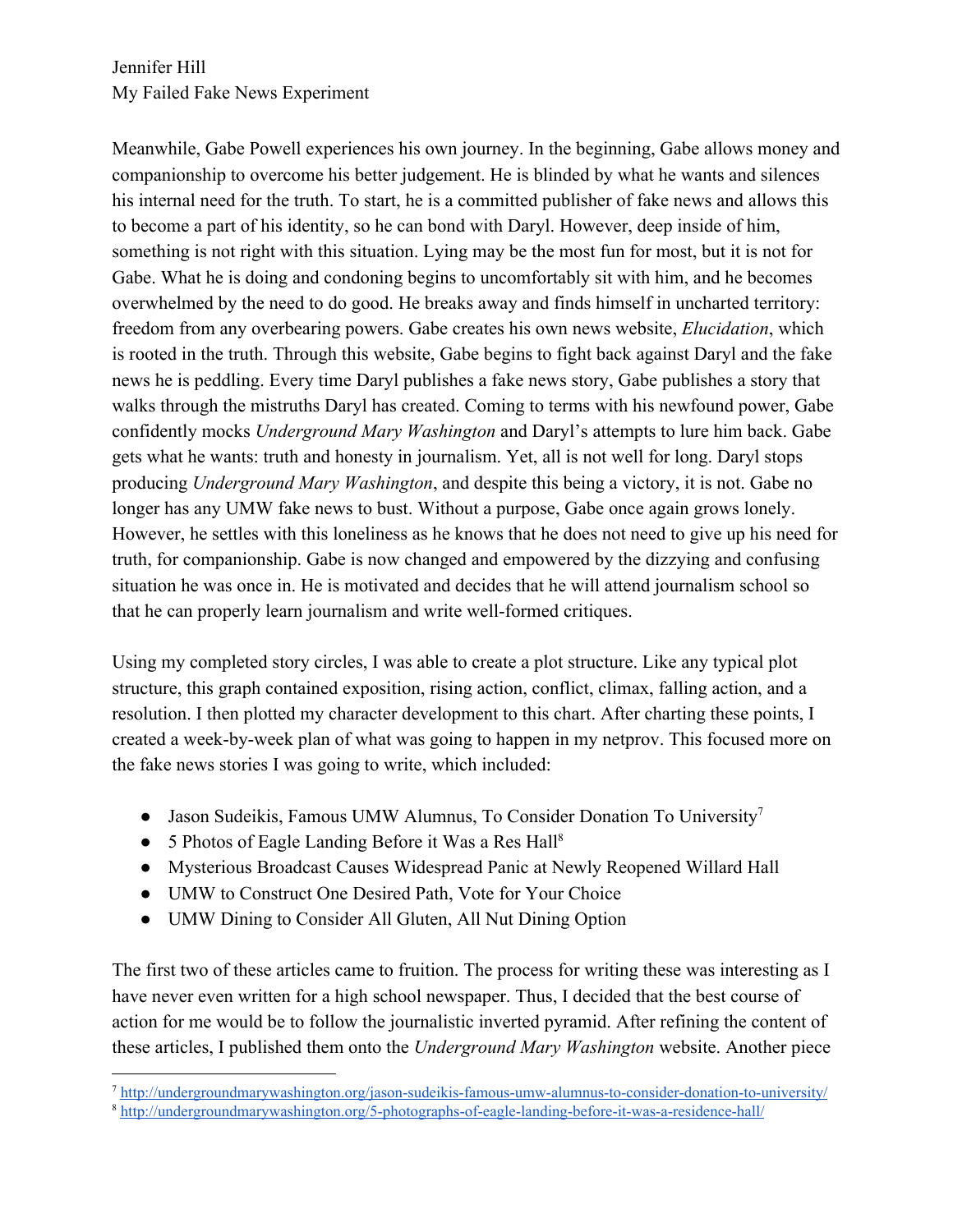Jennifer Hill My Failed Fake News Experiment

Meanwhile, Gabe Powell experiences his own journey. In the beginning, Gabe allows money and companionship to overcome his better judgement. He is blinded by what he wants and silences his internal need for the truth. To start, he is a committed publisher of fake news and allows this to become a part of his identity, so he can bond with Daryl. However, deep inside of him, something is not right with this situation. Lying may be the most fun for most, but it is not for Gabe. What he is doing and condoning begins to uncomfortably sit with him, and he becomes overwhelmed by the need to do good. He breaks away and finds himself in uncharted territory: freedom from any overbearing powers. Gabe creates his own news website, *Elucidation*, which is rooted in the truth. Through this website, Gabe begins to fight back against Daryl and the fake news he is peddling. Every time Daryl publishes a fake news story, Gabe publishes a story that walks through the mistruths Daryl has created. Coming to terms with his newfound power, Gabe confidently mocks *Underground Mary Washington* and Daryl's attempts to lure him back. Gabe gets what he wants: truth and honesty in journalism. Yet, all is not well for long. Daryl stops producing *Underground Mary Washington*, and despite this being a victory, it is not. Gabe no longer has any UMW fake news to bust. Without a purpose, Gabe once again grows lonely. However, he settles with this loneliness as he knows that he does not need to give up his need for truth, for companionship. Gabe is now changed and empowered by the dizzying and confusing situation he was once in. He is motivated and decides that he will attend journalism school so that he can properly learn journalism and write well-formed critiques.

Using my completed story circles, I was able to create a plot structure. Like any typical plot structure, this graph contained exposition, rising action, conflict, climax, falling action, and a resolution. I then plotted my character development to this chart. After charting these points, I created a week-by-week plan of what was going to happen in my netprov. This focused more on the fake news stories I was going to write, which included:

- Jason Sudeikis, Famous UMW Alumnus, To Consider Donation To University<sup>7</sup>
- 5 Photos of Eagle Landing Before it Was a Res Hall<sup>8</sup>
- Mysterious Broadcast Causes Widespread Panic at Newly Reopened Willard Hall
- UMW to Construct One Desired Path, Vote for Your Choice
- UMW Dining to Consider All Gluten, All Nut Dining Option

The first two of these articles came to fruition. The process for writing these was interesting as I have never even written for a high school newspaper. Thus, I decided that the best course of action for me would be to follow the journalistic inverted pyramid. After refining the content of these articles, I published them onto the *Underground Mary Washington* website. Another piece

<sup>7</sup> <http://undergroundmarywashington.org/jason-sudeikis-famous-umw-alumnus-to-consider-donation-to-university/>

<sup>8</sup> <http://undergroundmarywashington.org/5-photographs-of-eagle-landing-before-it-was-a-residence-hall/>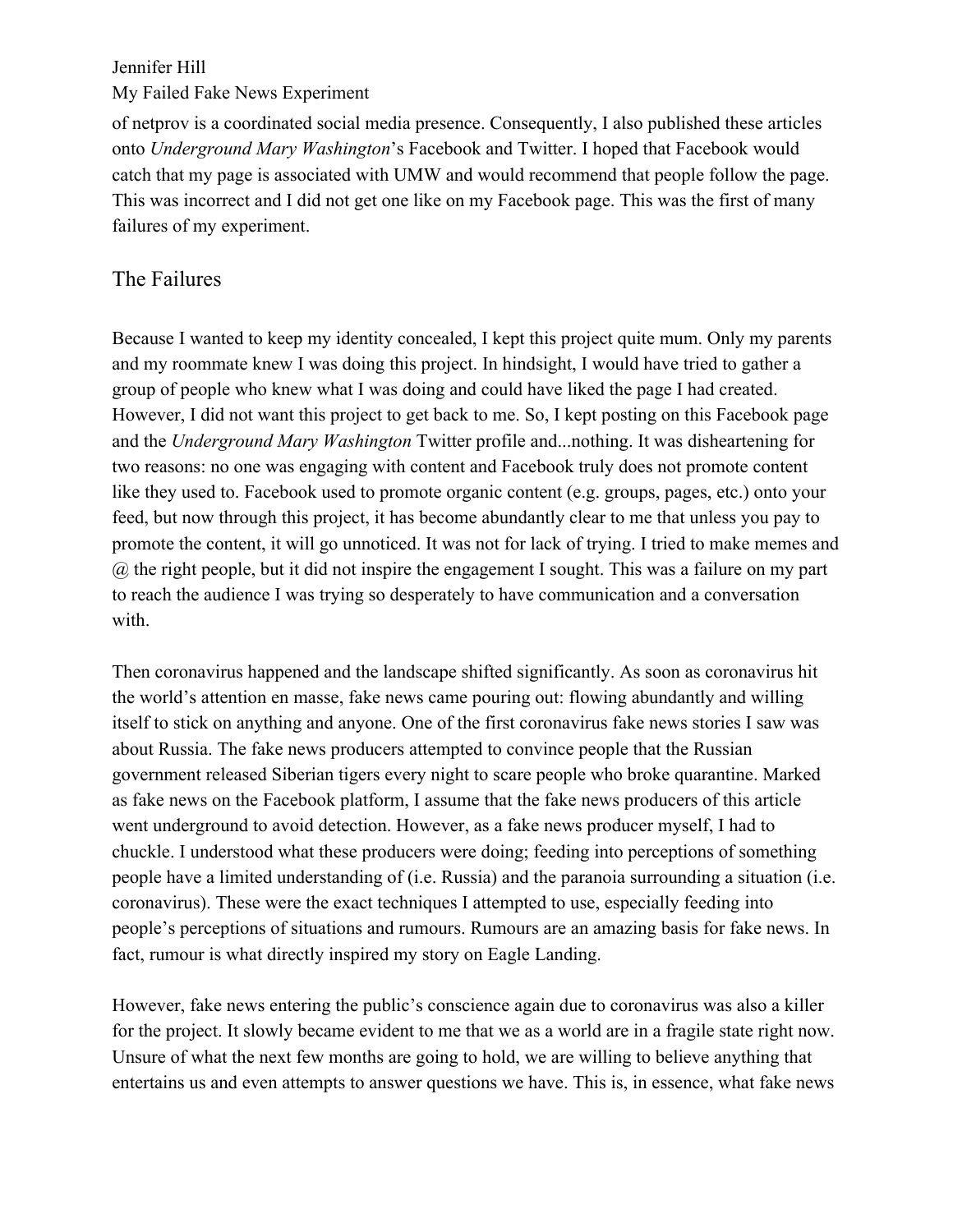#### My Failed Fake News Experiment

of netprov is a coordinated social media presence. Consequently, I also published these articles onto *Underground Mary Washington*'s Facebook and Twitter. I hoped that Facebook would catch that my page is associated with UMW and would recommend that people follow the page. This was incorrect and I did not get one like on my Facebook page. This was the first of many failures of my experiment.

## The Failures

Because I wanted to keep my identity concealed, I kept this project quite mum. Only my parents and my roommate knew I was doing this project. In hindsight, I would have tried to gather a group of people who knew what I was doing and could have liked the page I had created. However, I did not want this project to get back to me. So, I kept posting on this Facebook page and the *Underground Mary Washington* Twitter profile and...nothing. It was disheartening for two reasons: no one was engaging with content and Facebook truly does not promote content like they used to. Facebook used to promote organic content (e.g. groups, pages, etc.) onto your feed, but now through this project, it has become abundantly clear to me that unless you pay to promote the content, it will go unnoticed. It was not for lack of trying. I tried to make memes and @ the right people, but it did not inspire the engagement I sought. This was a failure on my part to reach the audience I was trying so desperately to have communication and a conversation with.

Then coronavirus happened and the landscape shifted significantly. As soon as coronavirus hit the world's attention en masse, fake news came pouring out: flowing abundantly and willing itself to stick on anything and anyone. One of the first coronavirus fake news stories I saw was about Russia. The fake news producers attempted to convince people that the Russian government released Siberian tigers every night to scare people who broke quarantine. Marked as fake news on the Facebook platform, I assume that the fake news producers of this article went underground to avoid detection. However, as a fake news producer myself, I had to chuckle. I understood what these producers were doing; feeding into perceptions of something people have a limited understanding of (i.e. Russia) and the paranoia surrounding a situation (i.e. coronavirus). These were the exact techniques I attempted to use, especially feeding into people's perceptions of situations and rumours. Rumours are an amazing basis for fake news. In fact, rumour is what directly inspired my story on Eagle Landing.

However, fake news entering the public's conscience again due to coronavirus was also a killer for the project. It slowly became evident to me that we as a world are in a fragile state right now. Unsure of what the next few months are going to hold, we are willing to believe anything that entertains us and even attempts to answer questions we have. This is, in essence, what fake news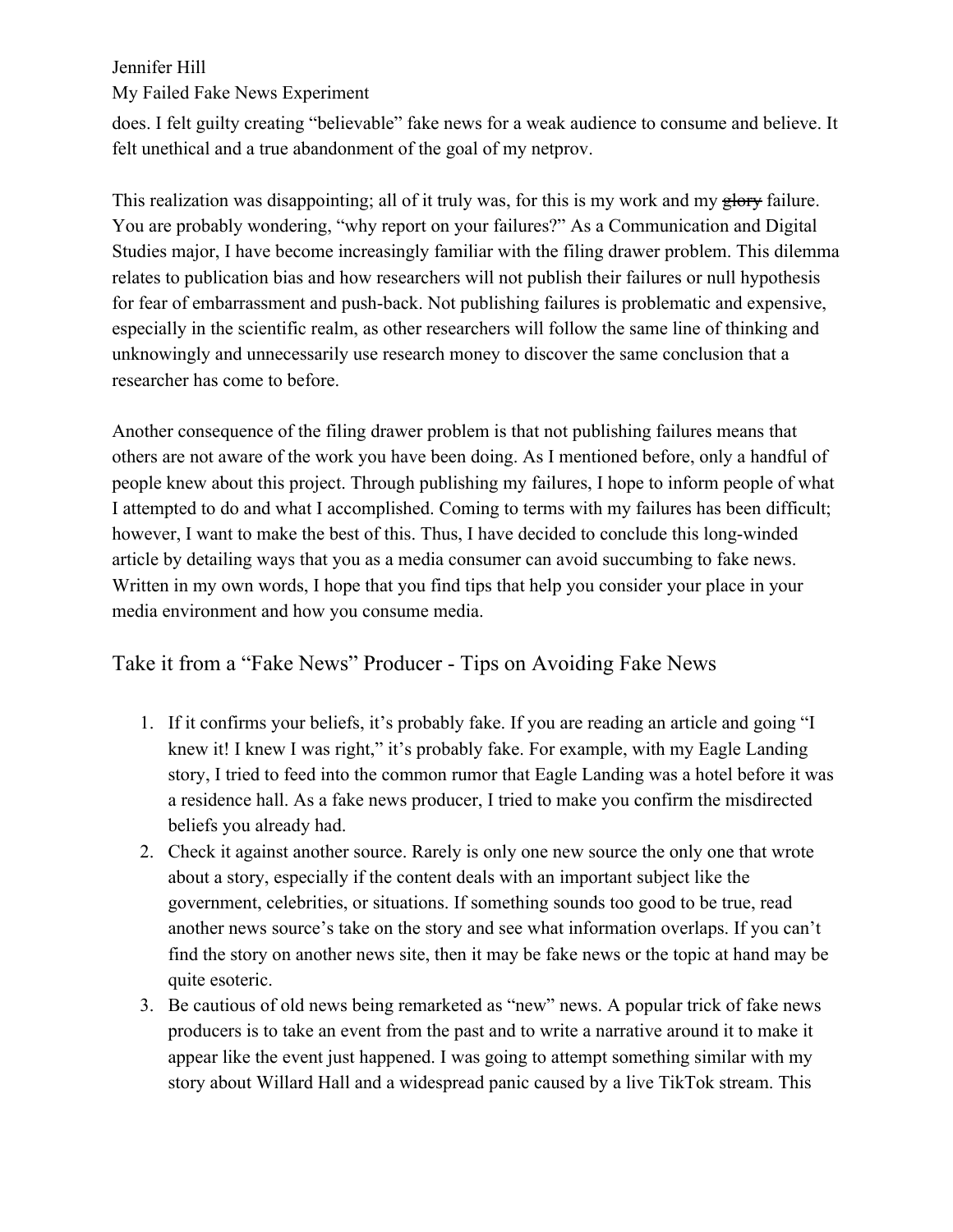My Failed Fake News Experiment

does. I felt guilty creating "believable" fake news for a weak audience to consume and believe. It felt unethical and a true abandonment of the goal of my netprov.

This realization was disappointing; all of it truly was, for this is my work and my glory failure. You are probably wondering, "why report on your failures?" As a Communication and Digital Studies major, I have become increasingly familiar with the filing drawer problem. This dilemma relates to publication bias and how researchers will not publish their failures or null hypothesis for fear of embarrassment and push-back. Not publishing failures is problematic and expensive, especially in the scientific realm, as other researchers will follow the same line of thinking and unknowingly and unnecessarily use research money to discover the same conclusion that a researcher has come to before.

Another consequence of the filing drawer problem is that not publishing failures means that others are not aware of the work you have been doing. As I mentioned before, only a handful of people knew about this project. Through publishing my failures, I hope to inform people of what I attempted to do and what I accomplished. Coming to terms with my failures has been difficult; however, I want to make the best of this. Thus, I have decided to conclude this long-winded article by detailing ways that you as a media consumer can avoid succumbing to fake news. Written in my own words, I hope that you find tips that help you consider your place in your media environment and how you consume media.

## Take it from a "Fake News" Producer - Tips on Avoiding Fake News

- 1. If it confirms your beliefs, it's probably fake. If you are reading an article and going "I knew it! I knew I was right," it's probably fake. For example, with my Eagle Landing story, I tried to feed into the common rumor that Eagle Landing was a hotel before it was a residence hall. As a fake news producer, I tried to make you confirm the misdirected beliefs you already had.
- 2. Check it against another source. Rarely is only one new source the only one that wrote about a story, especially if the content deals with an important subject like the government, celebrities, or situations. If something sounds too good to be true, read another news source's take on the story and see what information overlaps. If you can't find the story on another news site, then it may be fake news or the topic at hand may be quite esoteric.
- 3. Be cautious of old news being remarketed as "new" news. A popular trick of fake news producers is to take an event from the past and to write a narrative around it to make it appear like the event just happened. I was going to attempt something similar with my story about Willard Hall and a widespread panic caused by a live TikTok stream. This